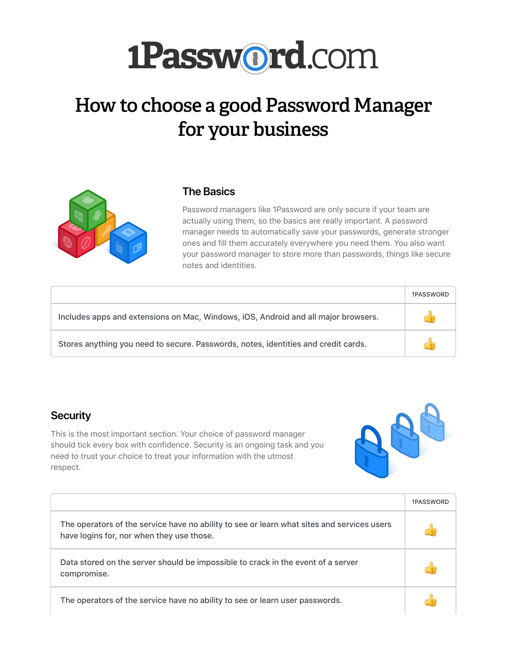|                                                                                                                                         | 1PASSWORD |
|-----------------------------------------------------------------------------------------------------------------------------------------|-----------|
| The operators of the service have no ability to see or learn what sites and services users<br>have logins for, nor when they use those. |           |
| Data stored on the server should be impossible to crack in the event of a server<br>compromise.                                         |           |
| The operators of the service have no ability to see or learn user passwords.                                                            |           |

#### **Security**

This is the most important section. Your choice of password manager should tick every box with confidence. Security is an ongoing task and you need to trust your choice to treat your information with the utmost respect.



|                                                                                    | 1PASSWORD |
|------------------------------------------------------------------------------------|-----------|
| Includes apps and extensions on Mac, Windows, iOS, Android and all major browsers. |           |
| Stores anything you need to secure. Passwords, notes, identities and credit cards. |           |

Password managers like 1Password are only secure if your team are actually using them, so the basics are really important. A password manager needs to automatically save your passwords, generate stronger ones and fill them accurately everywhere you need them. You also want your password manager to store more than passwords, things like secure notes and identities.

#### **The Basics**



# **How to choose a good Password Manager for your business**

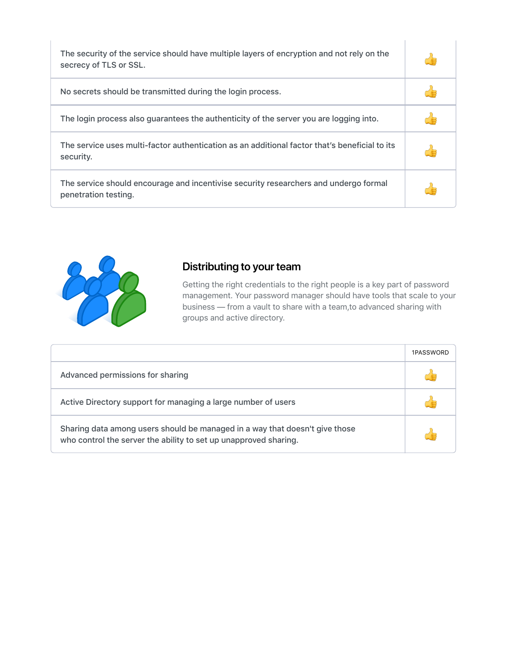|                                                                                                                                                 | 1PASSWORD |
|-------------------------------------------------------------------------------------------------------------------------------------------------|-----------|
| Advanced permissions for sharing                                                                                                                |           |
| Active Directory support for managing a large number of users                                                                                   |           |
| Sharing data among users should be managed in a way that doesn't give those<br>who control the server the ability to set up unapproved sharing. |           |

Getting the right credentials to the right people is a key part of password management. Your password manager should have tools that scale to your business — from a vault to share with a team,to advanced sharing with groups and active directory.

## **Distributing to your team**

| The security of the service should have multiple layers of encryption and not rely on the<br>secrecy of TLS or SSL. |  |
|---------------------------------------------------------------------------------------------------------------------|--|
| No secrets should be transmitted during the login process.                                                          |  |
| The login process also guarantees the authenticity of the server you are logging into.                              |  |
| The service uses multi-factor authentication as an additional factor that's beneficial to its<br>security.          |  |
| The service should encourage and incentivise security researchers and undergo formal<br>penetration testing.        |  |

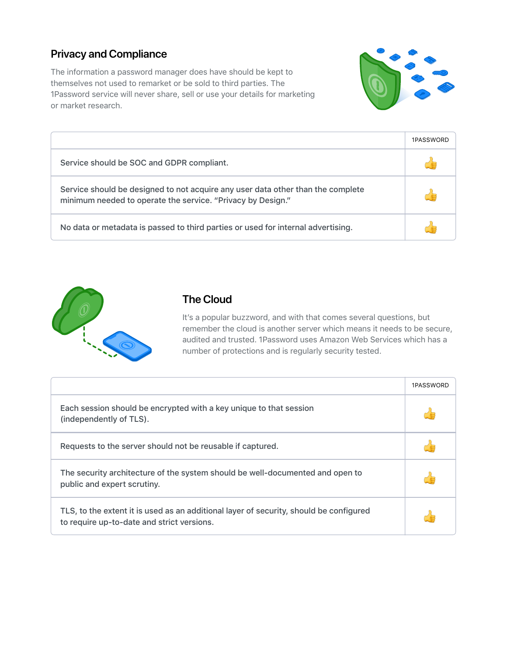|                                                                                               | 1PASSWORD |
|-----------------------------------------------------------------------------------------------|-----------|
| Each session should be encrypted with a key unique to that session<br>(independently of TLS). |           |
| Requests to the server should not be reusable if captured.                                    |           |



It's a popular buzzword, and with that comes several questions, but remember the cloud is another server which means it needs to be secure, audited and trusted. 1Password uses Amazon Web Services which has a number of protections and is regularly security tested.

#### **The Cloud**

|                                                                                                                                                | 1PASSWORD |
|------------------------------------------------------------------------------------------------------------------------------------------------|-----------|
| Service should be SOC and GDPR compliant.                                                                                                      |           |
| Service should be designed to not acquire any user data other than the complete<br>minimum needed to operate the service. "Privacy by Design." |           |
| No data or metadata is passed to third parties or used for internal advertising.                                                               |           |



The information a password manager does have should be kept to themselves not used to remarket or be sold to third parties. The 1Password service will never share, sell or use your details for marketing or market research.



#### **Privacy and Compliance**